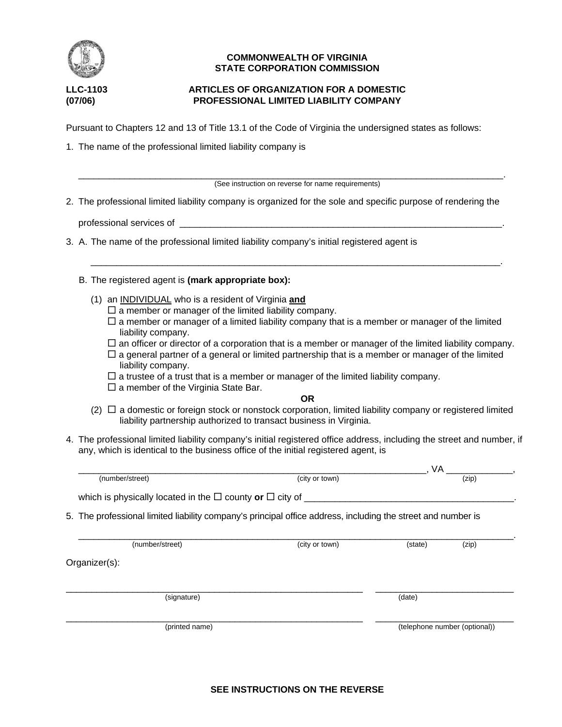

# **COMMONWEALTH OF VIRGINIA STATE CORPORATION COMMISSION**

# **LLC-1103 ARTICLES OF ORGANIZATION FOR A DOMESTIC (07/06) PROFESSIONAL LIMITED LIABILITY COMPANY**

Pursuant to Chapters 12 and 13 of Title 13.1 of the Code of Virginia the undersigned states as follows:

1. The name of the professional limited liability company is

\_\_\_\_\_\_\_\_\_\_\_\_\_\_\_\_\_\_\_\_\_\_\_\_\_\_\_\_\_\_\_\_\_\_\_\_\_\_\_\_\_\_\_\_\_\_\_\_\_\_\_\_\_\_\_\_\_\_\_\_\_\_\_\_\_\_\_\_\_\_\_\_\_\_\_\_\_\_\_\_\_\_\_. (See instruction on reverse for name requirements)

\_\_\_\_\_\_\_\_\_\_\_\_\_\_\_\_\_\_\_\_\_\_\_\_\_\_\_\_\_\_\_\_\_\_\_\_\_\_\_\_\_\_\_\_\_\_\_\_\_\_\_\_\_\_\_\_\_\_\_\_\_\_\_\_\_\_\_\_\_\_\_\_\_\_\_\_\_\_\_\_.

2. The professional limited liability company is organized for the sole and specific purpose of rendering the

professional services of

- 3. A. The name of the professional limited liability company's initial registered agent is
	- B. The registered agent is **(mark appropriate box):**
		- (1) an INDIVIDUAL who is a resident of Virginia **and**
			- $\square$  a member or manager of the limited liability company.
			- $\Box$  a member or manager of a limited liability company that is a member or manager of the limited liability company.
			- $\Box$  an officer or director of a corporation that is a member or manager of the limited liability company.
			- $\Box$  a general partner of a general or limited partnership that is a member or manager of the limited liability company.
			- $\Box$  a trustee of a trust that is a member or manager of the limited liability company.
			- $\square$  a member of the Virginia State Bar.

#### **OR**

- $(2)$   $\Box$  a domestic or foreign stock or nonstock corporation, limited liability company or registered limited liability partnership authorized to transact business in Virginia.
- 4. The professional limited liability company's initial registered office address, including the street and number, if any, which is identical to the business office of the initial registered agent, is

|                                                                           | VA      |                                                                                                              |
|---------------------------------------------------------------------------|---------|--------------------------------------------------------------------------------------------------------------|
| (city or town)                                                            |         | (zip)                                                                                                        |
| which is physically located in the $\Box$ county or $\Box$ city of $\Box$ |         |                                                                                                              |
|                                                                           |         |                                                                                                              |
|                                                                           |         |                                                                                                              |
| (city or town)                                                            | (state) | (zip)                                                                                                        |
|                                                                           |         |                                                                                                              |
|                                                                           | (date)  |                                                                                                              |
|                                                                           |         | (telephone number (optional))                                                                                |
|                                                                           |         | 5. The professional limited liability company's principal office address, including the street and number is |